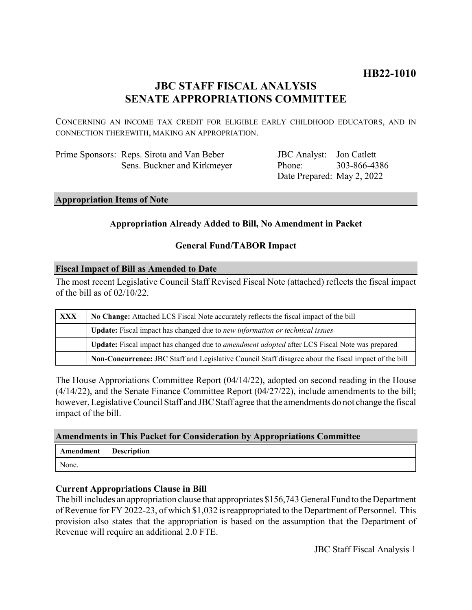# **HB22-1010**

## **JBC STAFF FISCAL ANALYSIS SENATE APPROPRIATIONS COMMITTEE**

CONCERNING AN INCOME TAX CREDIT FOR ELIGIBLE EARLY CHILDHOOD EDUCATORS, AND IN CONNECTION THEREWITH, MAKING AN APPROPRIATION.

| Prime Sponsors: Reps. Sirota and Van Beber |
|--------------------------------------------|
| Sens. Buckner and Kirkmeyer                |

JBC Analyst: Jon Catlett Phone: Date Prepared: May 2, 2022 303-866-4386

#### **Appropriation Items of Note**

## **Appropriation Already Added to Bill, No Amendment in Packet**

#### **General Fund/TABOR Impact**

#### **Fiscal Impact of Bill as Amended to Date**

The most recent Legislative Council Staff Revised Fiscal Note (attached) reflects the fiscal impact of the bill as of 02/10/22.

| XXX | No Change: Attached LCS Fiscal Note accurately reflects the fiscal impact of the bill                 |  |
|-----|-------------------------------------------------------------------------------------------------------|--|
|     | <b>Update:</b> Fiscal impact has changed due to new information or technical issues                   |  |
|     | Update: Fiscal impact has changed due to <i>amendment adopted</i> after LCS Fiscal Note was prepared  |  |
|     | Non-Concurrence: JBC Staff and Legislative Council Staff disagree about the fiscal impact of the bill |  |

The House Approriations Committee Report (04/14/22), adopted on second reading in the House  $(4/14/22)$ , and the Senate Finance Committee Report  $(04/27/22)$ , include amendments to the bill; however, Legislative Council Staff and JBC Staff agree that the amendments do not change the fiscal impact of the bill.

#### **Amendments in This Packet for Consideration by Appropriations Committee**

| Amendment | <b>Description</b> |
|-----------|--------------------|
| None.     |                    |

#### **Current Appropriations Clause in Bill**

The bill includes an appropriation clause that appropriates \$156,743 General Fund to the Department of Revenue for FY 2022-23, of which \$1,032 is reappropriated to the Department of Personnel. This provision also states that the appropriation is based on the assumption that the Department of Revenue will require an additional 2.0 FTE.